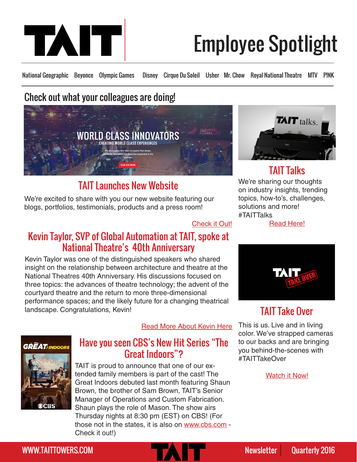

# Employee Spotlight

National Geographic Beyonce Olympic Games Disney Cirque Du Soleil Usher Mr. Chow Royal National Theatre MTV P!NK

# Check out what your colleagues are doing!



# **TAIT Launches New Website** We're sharing our thoughts

We're excited to share with you our new website featuring our blogs, portfolios, testimonials, products and a press room!

#### [Check it Out!](www.taittowers.com)

# Kevin Taylor, SVP of Global Automation at TAIT, spoke at National Theatre's 40th Anniversary

Kevin Taylor was one of the distinguished speakers who shared insight on the relationship between architecture and theatre at the National Theatres 40th Anniversary. His discussions focused on three topics: the advances of theatre technology; the advent of the courtyard theatre and the return to more three-dimensional performance spaces; and the likely future for a changing theatrical landscape. Congratulations, Kevin!

[Read More About Kevin Here](http://www.lightingandsoundamerica.com/news/story.asp?ID=-9M2FJ5)

# **GRËAT** INDOORS



### Have you seen CBS's New Hit Series "The Great Indoors"?

TAIT is proud to announce that one of our extended family members is part of the cast! The Great Indoors debuted last month featuring Shaun Brown, the brother of Sam Brown, TAIT's Senior Manager of Operations and Custom Fabrication. Shaun plays the role of Mason. The show airs Thursday nights at 8:30 pm (EST) on CBS! (For those not in the states, it is also on <www.cbs.com>- Check it out!)



# TAIT Talks

on industry insights, trending topics, how-to's, challenges, solutions and more! #TAITTalks

[Read Here!](http://www.taittowers.com/category/tait-talks/)



# TAIT Take Over

This is us. Live and in living color. We've strapped cameras to our backs and are bringing you behind-the-scenes with #TAITTakeOver

[Watch it Now!](http://www.taittowers.com/category/tait-take-over/)